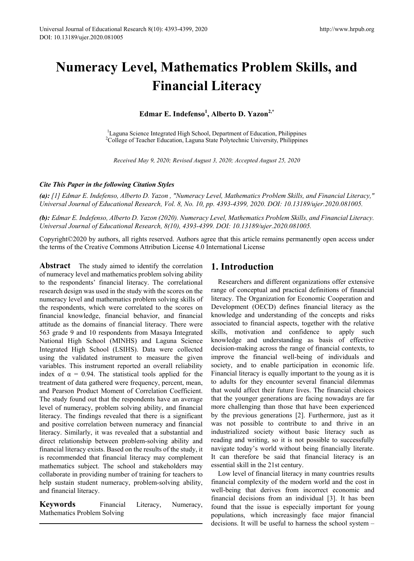# **Numeracy Level, Mathematics Problem Skills, and Financial Literacy**

**Edmar E. Indefenso<sup>1</sup> , Alberto D. Yazon2,\*** 

<sup>1</sup>Laguna Science Integrated High School, Department of Education, Philippines<br><sup>2</sup>College of Teacher Education, Laguna State Polytechnic University, Philippine <sup>2</sup>College of Teacher Education, Laguna State Polytechnic University, Philippines

*Received May 9, 2020; Revised August 3, 2020; Accepted August 25, 2020*

## *Cite This Paper in the following Citation Styles*

*(a): [1] Edmar E. Indefenso, Alberto D. Yazon , "Numeracy Level, Mathematics Problem Skills, and Financial Literacy," Universal Journal of Educational Research, Vol. 8, No. 10, pp. 4393-4399, 2020. DOI: 10.13189/ujer.2020.081005.* 

*(b): Edmar E. Indefenso, Alberto D. Yazon (2020). Numeracy Level, Mathematics Problem Skills, and Financial Literacy. Universal Journal of Educational Research, 8(10), 4393-4399. DOI: 10.13189/ujer.2020.081005.* 

Copyright©2020 by authors, all rights reserved. Authors agree that this article remains permanently open access under the terms of the Creative Commons Attribution License 4.0 International License

**Abstract** The study aimed to identify the correlation of numeracy level and mathematics problem solving ability to the respondents' financial literacy. The correlational research design was used in the study with the scores on the numeracy level and mathematics problem solving skills of the respondents, which were correlated to the scores on financial knowledge, financial behavior, and financial attitude as the domains of financial literacy. There were 563 grade 9 and 10 respondents from Masaya Integrated National High School (MINHS) and Laguna Science Integrated High School (LSIHS). Data were collected using the validated instrument to measure the given variables. This instrument reported an overall reliability index of  $\alpha = 0.94$ . The statistical tools applied for the treatment of data gathered were frequency, percent, mean, and Pearson Product Moment of Correlation Coefficient. The study found out that the respondents have an average level of numeracy, problem solving ability, and financial literacy. The findings revealed that there is a significant and positive correlation between numeracy and financial literacy. Similarly, it was revealed that a substantial and direct relationship between problem-solving ability and financial literacy exists. Based on the results of the study, it is recommended that financial literacy may complement mathematics subject. The school and stakeholders may collaborate in providing number of training for teachers to help sustain student numeracy, problem-solving ability, and financial literacy.

**Keywords** Financial Literacy, Numeracy, Mathematics Problem Solving

## **1. Introduction**

Researchers and different organizations offer extensive range of conceptual and practical definitions of financial literacy. The Organization for Economic Cooperation and Development (OECD) defines financial literacy as the knowledge and understanding of the concepts and risks associated to financial aspects, together with the relative skills, motivation and confidence to apply such knowledge and understanding as basis of effective decision-making across the range of financial contexts, to improve the financial well-being of individuals and society, and to enable participation in economic life. Financial literacy is equally important to the young as it is to adults for they encounter several financial dilemmas that would affect their future lives. The financial choices that the younger generations are facing nowadays are far more challenging than those that have been experienced by the previous generations [2]. Furthermore, just as it was not possible to contribute to and thrive in an industrialized society without basic literacy such as reading and writing, so it is not possible to successfully navigate today's world without being financially literate. It can therefore be said that financial literacy is an essential skill in the 21st century.

Low level of financial literacy in many countries results financial complexity of the modern world and the cost in well-being that derives from incorrect economic and financial decisions from an individual [3]. It has been found that the issue is especially important for young populations, which increasingly face major financial decisions. It will be useful to harness the school system –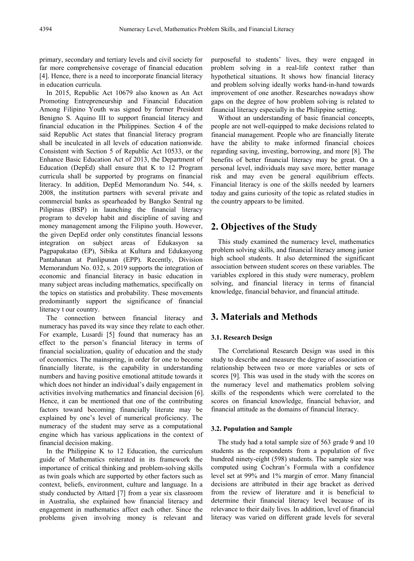primary, secondary and tertiary levels and civil society for far more comprehensive coverage of financial education [4]. Hence, there is a need to incorporate financial literacy in education curricula.

In 2015, Republic Act 10679 also known as An Act Promoting Entrepreneurship and Financial Education Among Filipino Youth was signed by former President Benigno S. Aquino III to support financial literacy and financial education in the Philippines. Section 4 of the said Republic Act states that financial literacy program shall be inculcated in all levels of education nationwide. Consistent with Section 5 of Republic Act 10533, or the Enhance Basic Education Act of 2013, the Department of Education (DepEd) shall ensure that K to 12 Program curricula shall be supported by programs on financial literacy. In addition, DepEd Memorandum No. 544, s. 2008, the institution partners with several private and commercial banks as spearheaded by Bangko Sentral ng Pilipinas (BSP) in launching the financial literacy program to develop habit and discipline of saving and money management among the Filipino youth. However, the given DepEd order only constitutes financial lessons integration on subject areas of Edukasyon sa Pagpapakatao (EP), Sibika at Kultura and Edukasyong Pantahanan at Panlipunan (EPP). Recently, Division Memorandum No. 032, s. 2019 supports the integration of economic and financial literacy in basic education in many subject areas including mathematics, specifically on the topics on statistics and probability. These movements predominantly support the significance of financial literacy t our country.

The connection between financial literacy and numeracy has paved its way since they relate to each other. For example, Lusardi [5] found that numeracy has an effect to the person's financial literacy in terms of financial socialization, quality of education and the study of economics. The mainspring, in order for one to become financially literate, is the capability in understanding numbers and having positive emotional attitude towards it which does not hinder an individual's daily engagement in activities involving mathematics and financial decision [6]. Hence, it can be mentioned that one of the contributing factors toward becoming financially literate may be explained by one's level of numerical proficiency. The numeracy of the student may serve as a computational engine which has various applications in the context of financial decision making.

In the Philippine K to 12 Education, the curriculum guide of Mathematics reiterated in its framework the importance of critical thinking and problem-solving skills as twin goals which are supported by other factors such as context, beliefs, environment, culture and language. In a study conducted by Attard [7] from a year six classroom in Australia, she explained how financial literacy and engagement in mathematics affect each other. Since the problems given involving money is relevant and

purposeful to students' lives, they were engaged in problem solving in a real-life context rather than hypothetical situations. It shows how financial literacy and problem solving ideally works hand-in-hand towards improvement of one another. Researches nowadays show gaps on the degree of how problem solving is related to financial literacy especially in the Philippine setting.

Without an understanding of basic financial concepts, people are not well-equipped to make decisions related to financial management. People who are financially literate have the ability to make informed financial choices regarding saving, investing, borrowing, and more [8]. The benefits of better financial literacy may be great. On a personal level, individuals may save more, better manage risk and may even be general equilibrium effects. Financial literacy is one of the skills needed by learners today and gains curiosity of the topic as related studies in the country appears to be limited.

## **2. Objectives of the Study**

This study examined the numeracy level, mathematics problem solving skills, and financial literacy among junior high school students. It also determined the significant association between student scores on these variables. The variables explored in this study were numeracy, problem solving, and financial literacy in terms of financial knowledge, financial behavior, and financial attitude.

# **3. Materials and Methods**

#### **3.1. Research Design**

The Correlational Research Design was used in this study to describe and measure the degree of association or relationship between two or more variables or sets of scores [9]. This was used in the study with the scores on the numeracy level and mathematics problem solving skills of the respondents which were correlated to the scores on financial knowledge, financial behavior, and financial attitude as the domains of financial literacy.

#### **3.2. Population and Sample**

The study had a total sample size of 563 grade 9 and 10 students as the respondents from a population of five hundred ninety-eight (598) students. The sample size was computed using Cochran's Formula with a confidence level set at 99% and 1% margin of error. Many financial decisions are attributed in their age bracket as derived from the review of literature and it is beneficial to determine their financial literacy level because of its relevance to their daily lives. In addition, level of financial literacy was varied on different grade levels for several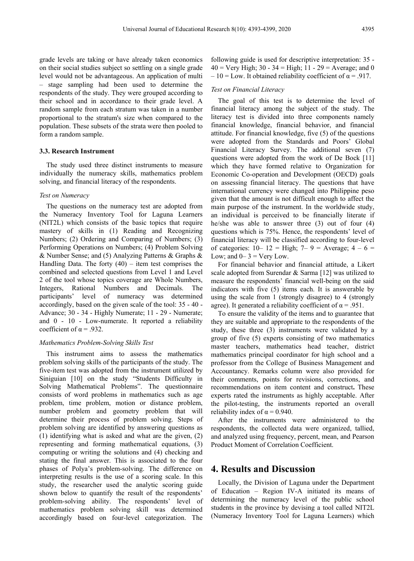grade levels are taking or have already taken economics on their social studies subject so settling on a single grade level would not be advantageous. An application of multi – stage sampling had been used to determine the respondents of the study. They were grouped according to their school and in accordance to their grade level. A random sample from each stratum was taken in a number proportional to the stratum's size when compared to the population. These subsets of the strata were then pooled to form a random sample.

#### **3.3. Research Instrument**

The study used three distinct instruments to measure individually the numeracy skills, mathematics problem solving, and financial literacy of the respondents.

## *Test on Numeracy*

The questions on the numeracy test are adopted from the Numeracy Inventory Tool for Laguna Learners (NIT2L) which consists of the basic topics that require mastery of skills in (1) Reading and Recognizing Numbers; (2) Ordering and Comparing of Numbers; (3) Performing Operations on Numbers; (4) Problem Solving & Number Sense; and (5) Analyzing Patterns & Graphs & Handling Data. The forty  $(40)$  – item test comprises the combined and selected questions from Level 1 and Level 2 of the tool whose topics coverage are Whole Numbers, Integers, Rational Numbers and Decimals. The participants' level of numeracy was determined accordingly, based on the given scale of the tool: 35 - 40 - Advance; 30 - 34 - Highly Numerate; 11 - 29 - Numerate; and 0 - 10 - Low-numerate. It reported a reliability coefficient of  $\alpha$  = .932.

## *Mathematics Problem-Solving Skills Test*

This instrument aims to assess the mathematics problem solving skills of the participants of the study. The five-item test was adopted from the instrument utilized by Siniguian [10] on the study "Students Difficulty in Solving Mathematical Problems". The questionnaire consists of word problems in mathematics such as age problem, time problem, motion or distance problem, number problem and geometry problem that will determine their process of problem solving. Steps of problem solving are identified by answering questions as (1) identifying what is asked and what are the given, (2) representing and forming mathematical equations, (3) computing or writing the solutions and (4) checking and stating the final answer. This is associated to the four phases of Polya's problem-solving. The difference on interpreting results is the use of a scoring scale. In this study, the researcher used the analytic scoring guide shown below to quantify the result of the respondents' problem-solving ability. The respondents' level of mathematics problem solving skill was determined accordingly based on four-level categorization. The

following guide is used for descriptive interpretation: 35 -  $40 = \text{Very High}$ ;  $30 - 34 = \text{High}$ ;  $11 - 29 = \text{Average}$ ; and 0  $-10 =$  Low. It obtained reliability coefficient of  $\alpha = .917$ .

#### *Test on Financial Literacy*

The goal of this test is to determine the level of financial literacy among the subject of the study. The literacy test is divided into three components namely financial knowledge, financial behavior, and financial attitude. For financial knowledge, five (5) of the questions were adopted from the Standards and Poors' Global Financial Literacy Survey. The additional seven (7) questions were adopted from the work of De Bock [11] which they have formed relative to Organization for Economic Co-operation and Development (OECD) goals on assessing financial literacy. The questions that have international currency were changed into Philippine peso given that the amount is not difficult enough to affect the main purpose of the instrument. In the worldwide study, an individual is perceived to be financially literate if he/she was able to answer three (3) out of four (4) questions which is 75%. Hence, the respondents' level of financial literacy will be classified according to four-level of categories:  $10 - 12 =$  High;  $7 - 9 =$  Average;  $4 - 6 =$ Low; and  $0 - 3 =$  Very Low.

For financial behavior and financial attitude, a Likert scale adopted from Surendar  $& \text{Sarma}$  [12] was utilized to measure the respondents' financial well-being on the said indicators with five (5) items each. It is answerable by using the scale from 1 (strongly disagree) to 4 (strongly agree). It generated a reliability coefficient of  $\alpha = .951$ .

To ensure the validity of the items and to guarantee that they are suitable and appropriate to the respondents of the study, these three (3) instruments were validated by a group of five (5) experts consisting of two mathematics master teachers, mathematics head teacher, district mathematics principal coordinator for high school and a professor from the College of Business Management and Accountancy. Remarks column were also provided for their comments, points for revisions, corrections, and recommendations on item content and construct**.** These experts rated the instruments as highly acceptable. After the pilot-testing, the instruments reported an overall reliability index of  $\alpha$  = 0.940.

After the instruments were administered to the respondents, the collected data were organized, tallied, and analyzed using frequency, percent, mean, and Pearson Product Moment of Correlation Coefficient.

# **4. Results and Discussion**

Locally, the Division of Laguna under the Department of Education – Region IV-A initiated its means of determining the numeracy level of the public school students in the province by devising a tool called NIT2L (Numeracy Inventory Tool for Laguna Learners) which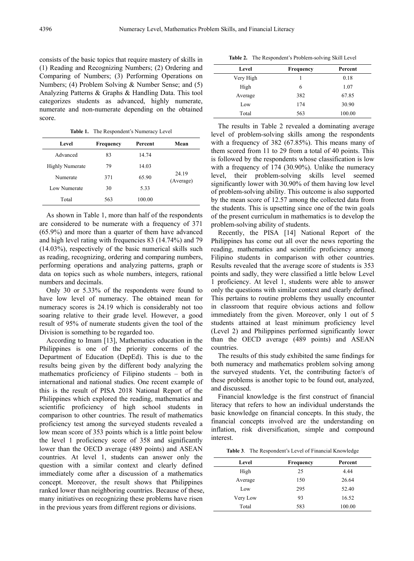consists of the basic topics that require mastery of skills in (1) Reading and Recognizing Numbers; (2) Ordering and Comparing of Numbers; (3) Performing Operations on Numbers; (4) Problem Solving & Number Sense; and (5) Analyzing Patterns & Graphs & Handling Data. This tool categorizes students as advanced, highly numerate, numerate and non-numerate depending on the obtained score.

**Table 1.** The Respondent's Numeracy Level

| Level                  | <b>Frequency</b> | Percent | Mean               |
|------------------------|------------------|---------|--------------------|
| Advanced               | 83               | 14.74   |                    |
| <b>Highly Numerate</b> | 79               | 14.03   |                    |
| Numerate               | 371              | 65.90   | 24.19<br>(Average) |
| Low Numerate           | 30               | 5.33    |                    |
| Total                  | 563              | 100.00  |                    |

As shown in Table 1, more than half of the respondents are considered to be numerate with a frequency of 371 (65.9%) and more than a quarter of them have advanced and high level rating with frequencies 83 (14.74%) and 79 (14.03%), respectively of the basic numerical skills such as reading, recognizing, ordering and comparing numbers, performing operations and analyzing patterns, graph or data on topics such as whole numbers, integers, rational numbers and decimals.

Only 30 or 5.33% of the respondents were found to have low level of numeracy. The obtained mean for numeracy scores is 24.19 which is considerably not too soaring relative to their grade level. However, a good result of 95% of numerate students given the tool of the Division is something to be regarded too.

According to Imam [13], Mathematics education in the Philippines is one of the priority concerns of the Department of Education (DepEd). This is due to the results being given by the different body analyzing the mathematics proficiency of Filipino students – both in international and national studies. One recent example of this is the result of PISA 2018 National Report of the Philippines which explored the reading, mathematics and scientific proficiency of high school students in comparison to other countries. The result of mathematics proficiency test among the surveyed students revealed a low mean score of 353 points which is a little point below the level 1 proficiency score of 358 and significantly lower than the OECD average (489 points) and ASEAN countries. At level 1, students can answer only the question with a similar context and clearly defined immediately come after a discussion of a mathematics concept. Moreover, the result shows that Philippines ranked lower than neighboring countries. Because of these, many initiatives on recognizing these problems have risen in the previous years from different regions or divisions.

**Table 2.** The Respondent's Problem-solving Skill Level

| Level     | Frequency | Percent |
|-----------|-----------|---------|
| Very High |           | 0.18    |
| High      | 6         | 1.07    |
| Average   | 382       | 67.85   |
| Low       | 174       | 30.90   |
| Total     | 563       | 100.00  |

The results in Table 2 revealed a dominating average level of problem-solving skills among the respondents with a frequency of 382 (67.85%). This means many of them scored from 11 to 29 from a total of 40 points. This is followed by the respondents whose classification is low with a frequency of 174 (30.90%). Unlike the numeracy level, their problem-solving skills level seemed significantly lower with 30.90% of them having low level of problem-solving ability. This outcome is also supported by the mean score of 12.57 among the collected data from the students. This is upsetting since one of the twin goals of the present curriculum in mathematics is to develop the problem-solving ability of students.

Recently, the PISA [14] National Report of the Philippines has come out all over the news reporting the reading, mathematics and scientific proficiency among Filipino students in comparison with other countries. Results revealed that the average score of students is 353 points and sadly, they were classified a little below Level 1 proficiency. At level 1, students were able to answer only the questions with similar context and clearly defined. This pertains to routine problems they usually encounter in classroom that require obvious actions and follow immediately from the given. Moreover, only 1 out of 5 students attained at least minimum proficiency level (Level 2) and Philippines performed significantly lower than the OECD average (489 points) and ASEAN countries.

The results of this study exhibited the same findings for both numeracy and mathematics problem solving among the surveyed students. Yet, the contributing factor/s of these problems is another topic to be found out, analyzed, and discussed.

Financial knowledge is the first construct of financial literacy that refers to how an individual understands the basic knowledge on financial concepts. In this study, the financial concepts involved are the understanding on inflation, risk diversification, simple and compound interest.

**Table 3**. The Respondent's Level of Financial Knowledge

| Level    | <b>Frequency</b> | Percent |
|----------|------------------|---------|
| High     | 25               | 4.44    |
| Average  | 150              | 26.64   |
| Low      | 295              | 52.40   |
| Very Low | 93               | 16.52   |
| Total    | 583              | 100.00  |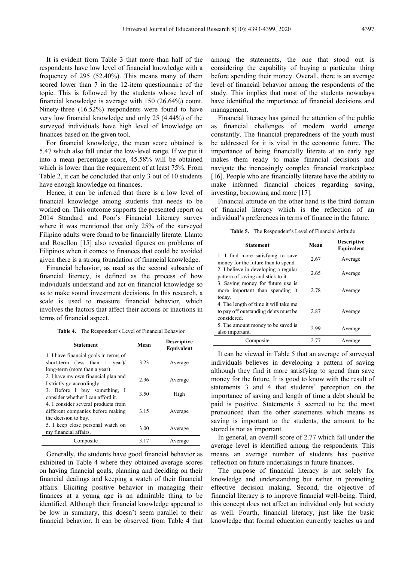It is evident from Table 3 that more than half of the respondents have low level of financial knowledge with a frequency of 295 (52.40%). This means many of them scored lower than 7 in the 12-item questionnaire of the topic. This is followed by the students whose level of financial knowledge is average with 150 (26.64%) count. Ninety-three (16.52%) respondents were found to have very low financial knowledge and only 25 (4.44%) of the surveyed individuals have high level of knowledge on finances based on the given tool.

For financial knowledge, the mean score obtained is 5.47 which also fall under the low-level range. If we put it into a mean percentage score, 45.58% will be obtained which is lower than the requirement of at least 75%. From Table 2, it can be concluded that only 3 out of 10 students have enough knowledge on finances.

Hence, it can be inferred that there is a low level of financial knowledge among students that needs to be worked on. This outcome supports the presented report on 2014 Standard and Poor's Financial Literacy survey where it was mentioned that only 25% of the surveyed Filipino adults were found to be financially literate. Llanto and Rosellon [15] also revealed figures on problems of Filipinos when it comes to finances that could be avoided given there is a strong foundation of financial knowledge.

Financial behavior, as used as the second subscale of financial literacy, is defined as the process of how individuals understand and act on financial knowledge so as to make sound investment decisions. In this research, a scale is used to measure financial behavior, which involves the factors that affect their actions or inactions in terms of financial aspect.

**Table 4.** The Respondent's Level of Financial Behavior

| Statement                                                                                                 | Mean | <b>Descriptive</b><br>Equivalent |
|-----------------------------------------------------------------------------------------------------------|------|----------------------------------|
| 1. I have financial goals in terms of<br>short-term (less than $1$ year)/<br>long-term (more than a year) | 3.23 | Average                          |
| 2. I have my own financial plan and<br>I strictly go accordingly                                          | 2.96 | Average                          |
| 3. Before I buy something, I<br>consider whether I can afford it.                                         | 3.50 | High                             |
| 4. I consider several products from<br>different companies before making<br>the decision to buy.          | 3.15 | Average                          |
| 5. I keep close personal watch on<br>my financial affairs.                                                | 3.00 | Average                          |
| Composite                                                                                                 | 3.17 | Average                          |

Generally, the students have good financial behavior as exhibited in Table 4 where they obtained average scores on having financial goals, planning and deciding on their financial dealings and keeping a watch of their financial affairs. Eliciting positive behavior in managing their finances at a young age is an admirable thing to be identified. Although their financial knowledge appeared to be low in summary, this doesn't seem parallel to their financial behavior. It can be observed from Table 4 that

among the statements, the one that stood out is considering the capability of buying a particular thing before spending their money. Overall, there is an average level of financial behavior among the respondents of the study. This implies that most of the students nowadays have identified the importance of financial decisions and management.

Financial literacy has gained the attention of the public as financial challenges of modern world emerge constantly. The financial preparedness of the youth must be addressed for it is vital in the economic future. The importance of being financially literate at an early age makes them ready to make financial decisions and navigate the increasingly complex financial marketplace [16]. People who are financially literate have the ability to make informed financial choices regarding saving, investing, borrowing and more [17].

Financial attitude on the other hand is the third domain of financial literacy which is the reflection of an individual's preferences in terms of finance in the future.

**Table 5.** The Respondent's Level of Financial Attitude

| <b>Statement</b>                                                                            | Mean | <b>Descriptive</b><br>Equivalent |
|---------------------------------------------------------------------------------------------|------|----------------------------------|
| 1. I find more satisfying to save<br>money for the future than to spend.                    | 2.67 | Average                          |
| 2. I believe in developing a regular<br>pattern of saving and stick to it.                  | 2.65 | Average                          |
| 3. Saving money for future use is<br>more important than spending it<br>today.              | 2.78 | Average                          |
| 4. The length of time it will take me<br>to pay off outstanding debts must be<br>considered | 2.87 | Average                          |
| 5. The amount money to be saved is<br>also important.                                       | 2.99 | Average                          |
| Composite                                                                                   | 2.77 | Average                          |

It can be viewed in Table 5 that an average of surveyed individuals believes in developing a pattern of saving although they find it more satisfying to spend than save money for the future. It is good to know with the result of statements 3 and 4 that students' perception on the importance of saving and length of time a debt should be paid is positive. Statements 5 seemed to be the most pronounced than the other statements which means as saving is important to the students, the amount to be stored is not as important.

In general, an overall score of 2.77 which fall under the average level is identified among the respondents. This means an average number of students has positive reflection on future undertakings in future finances.

The purpose of financial literacy is not solely for knowledge and understanding but rather in promoting effective decision making. Second, the objective of financial literacy is to improve financial well-being. Third, this concept does not affect an individual only but society as well. Fourth, financial literacy, just like the basic knowledge that formal education currently teaches us and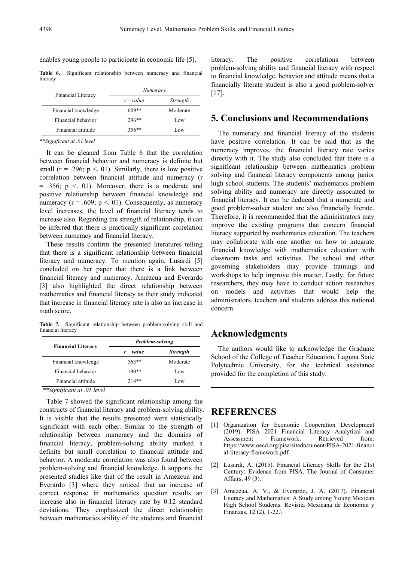enables young people to participate in economic life [5].

**Table 6.** Significant relationship between numeracy and financial literacy

| <b>Financial Literacy</b> | Numeracy  |          |  |
|---------------------------|-----------|----------|--|
|                           | $r-value$ | Strength |  |
| Financial knowledge       | $.609**$  | Moderate |  |
| Financial behavior        | $.296**$  | Low      |  |
| Financial attitude        | $356**$   | Low      |  |

*<sup>\*\*</sup>Significant at .01 level*

It can be gleaned from Table 6 that the correlation between financial behavior and numeracy is definite but small ( $r = .296$ ;  $p < .01$ ). Similarly, there is low positive correlation between financial attitude and numeracy (r  $= .356$ ;  $p \le 01$ ). Moreover, there is a moderate and positive relationship between financial knowledge and numeracy ( $r = .609$ ;  $p < .01$ ). Consequently, as numeracy level increases, the level of financial literacy tends to increase also. Regarding the strength of relationship, it can be inferred that there is practically significant correlation between numeracy and financial literacy.

These results confirm the presented literatures telling that there is a significant relationship between financial literacy and numeracy. To mention again, Lusardi [5] concluded on her paper that there is a link between financial literacy and numeracy. Amezcua and Everardo [3] also highlighted the direct relationship between mathematics and financial literacy as their study indicated that increase in financial literacy rate is also an increase in math score.

**Table 7.** Significant relationship between problem-solving skill and financial literacy

| <b>Problem-solving</b> |                 |
|------------------------|-----------------|
| $r-value$              | <b>Strength</b> |
| $.563**$               | Moderate        |
| $.190**$               | Low             |
| $214**$                | Low             |
|                        |                 |

*<sup>\*\*</sup>Significant at .01 level*

Table 7 showed the significant relationship among the constructs of financial literacy and problem-solving ability. It is visible that the results presented were statistically significant with each other. Similar to the strength of relationship between numeracy and the domains of financial literacy, problem-solving ability marked a definite but small correlation to financial attitude and behavior. A moderate correlation was also found between problem-solving and financial knowledge. It supports the presented studies like that of the result in Amezcua and Everardo [3] where they noticed that an increase of correct response in mathematics question results an increase also in financial literacy rate by 0.12 standard deviations. They emphasized the direct relationship between mathematics ability of the students and financial

literacy. The positive correlations between problem-solving ability and financial literacy with respect to financial knowledge, behavior and attitude means that a financially literate student is also a good problem-solver [17].

## **5. Conclusions and Recommendations**

The numeracy and financial literacy of the students have positive correlation. It can be said that as the numeracy improves, the financial literacy rate varies directly with it. The study also concluded that there is a significant relationship between mathematics problem solving and financial literacy components among junior high school students. The students' mathematics problem solving ability and numeracy are directly associated to financial literacy. It can be deduced that a numerate and good problem-solver student are also financially literate. Therefore, it is recommended that the administrators may improve the existing programs that concern financial literacy supported by mathematics education. The teachers may collaborate with one another on how to integrate financial knowledge with mathematics education with classroom tasks and activities. The school and other governing stakeholders may provide trainings and workshops to help improve this matter. Lastly, for future researchers, they may have to conduct action researches on models and activities that would help the administrators, teachers and students address this national concern.

## **Acknowledgments**

The authors would like to acknowledge the Graduate School of the College of Teacher Education, Laguna State Polytechnic University, for the technical assistance provided for the completion of this study.

## **REFERENCES**

- [1] Organization for Economic Cooperation Development (2019). PISA 2021 Financial Literacy Analytical and Assessment Framework. Retrieved from: https://www.oecd.org/pisa/sitedocument/PISA-2021-financi al-literacy-framework.pdf
- [2] Lusardi, A. (2015). Financial Literacy Skills for the 21st Century: Evidence from PISA. The Journal of Consumer Affairs, 49 (3).
- [3] Amezcua, A. V., & Everardo, J. A. (2017). Financial Literacy and Mathematics: A Study among Young Mexican High School Students. Revisita Mexicana de Economia y Finanzas,  $12(2)$ ,  $1-22$ .